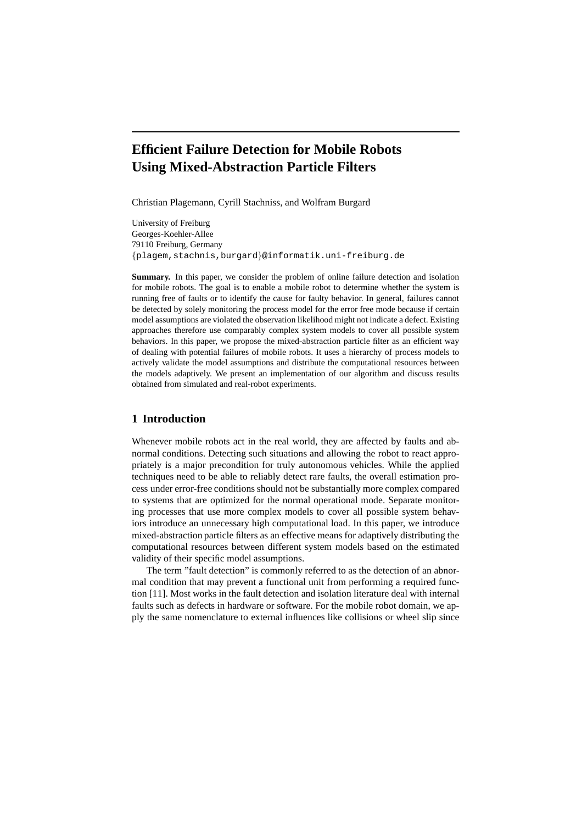# **Efficient Failure Detection for Mobile Robots Using Mixed-Abstraction Particle Filters**

Christian Plagemann, Cyrill Stachniss, and Wolfram Burgard

University of Freiburg Georges-Koehler-Allee 79110 Freiburg, Germany {plagem,stachnis,burgard}@informatik.uni-freiburg.de

**Summary.** In this paper, we consider the problem of online failure detection and isolation for mobile robots. The goal is to enable a mobile robot to determine whether the system is running free of faults or to identify the cause for faulty behavior. In general, failures cannot be detected by solely monitoring the process model for the error free mode because if certain model assumptions are violated the observation likelihood might not indicate a defect. Existing approaches therefore use comparably complex system models to cover all possible system behaviors. In this paper, we propose the mixed-abstraction particle filter as an efficient way of dealing with potential failures of mobile robots. It uses a hierarchy of process models to actively validate the model assumptions and distribute the computational resources between the models adaptively. We present an implementation of our algorithm and discuss results obtained from simulated and real-robot experiments.

# **1 Introduction**

Whenever mobile robots act in the real world, they are affected by faults and abnormal conditions. Detecting such situations and allowing the robot to react appropriately is a major precondition for truly autonomous vehicles. While the applied techniques need to be able to reliably detect rare faults, the overall estimation process under error-free conditions should not be substantially more complex compared to systems that are optimized for the normal operational mode. Separate monitoring processes that use more complex models to cover all possible system behaviors introduce an unnecessary high computational load. In this paper, we introduce mixed-abstraction particle filters as an effective means for adaptively distributing the computational resources between different system models based on the estimated validity of their specific model assumptions.

The term "fault detection" is commonly referred to as the detection of an abnormal condition that may prevent a functional unit from performing a required function [11]. Most works in the fault detection and isolation literature deal with internal faults such as defects in hardware or software. For the mobile robot domain, we apply the same nomenclature to external influences like collisions or wheel slip since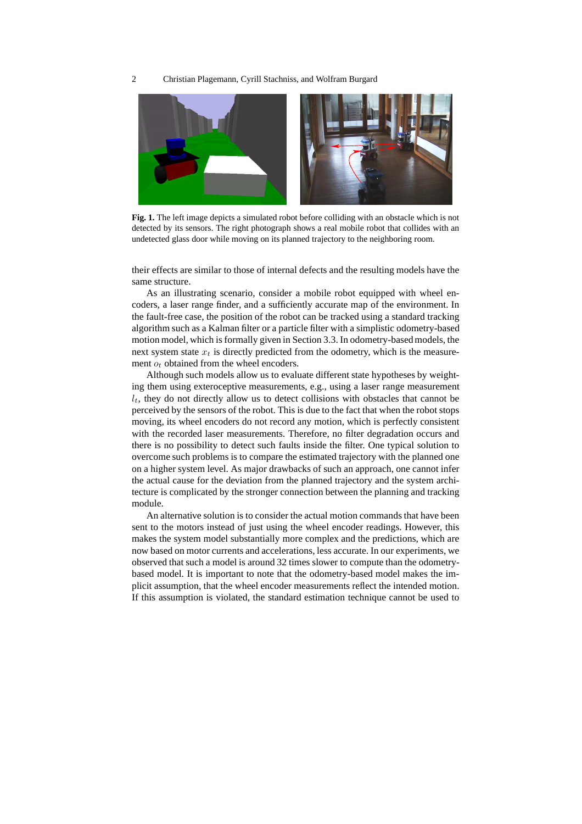

**Fig. 1.** The left image depicts a simulated robot before colliding with an obstacle which is not detected by its sensors. The right photograph shows a real mobile robot that collides with an undetected glass door while moving on its planned trajectory to the neighboring room.

their effects are similar to those of internal defects and the resulting models have the same structure.

As an illustrating scenario, consider a mobile robot equipped with wheel encoders, a laser range finder, and a sufficiently accurate map of the environment. In the fault-free case, the position of the robot can be tracked using a standard tracking algorithm such as a Kalman filter or a particle filter with a simplistic odometry-based motion model, which is formally given in Section 3.3. In odometry-based models, the next system state  $x_t$  is directly predicted from the odometry, which is the measurement  $o_t$  obtained from the wheel encoders.

Although such models allow us to evaluate different state hypotheses by weighting them using exteroceptive measurements, e.g., using a laser range measurement  $l_t$ , they do not directly allow us to detect collisions with obstacles that cannot be perceived by the sensors of the robot. This is due to the fact that when the robot stops moving, its wheel encoders do not record any motion, which is perfectly consistent with the recorded laser measurements. Therefore, no filter degradation occurs and there is no possibility to detect such faults inside the filter. One typical solution to overcome such problems is to compare the estimated trajectory with the planned one on a higher system level. As major drawbacks of such an approach, one cannot infer the actual cause for the deviation from the planned trajectory and the system architecture is complicated by the stronger connection between the planning and tracking module.

An alternative solution is to consider the actual motion commands that have been sent to the motors instead of just using the wheel encoder readings. However, this makes the system model substantially more complex and the predictions, which are now based on motor currents and accelerations, less accurate. In our experiments, we observed that such a model is around 32 times slower to compute than the odometrybased model. It is important to note that the odometry-based model makes the implicit assumption, that the wheel encoder measurements reflect the intended motion. If this assumption is violated, the standard estimation technique cannot be used to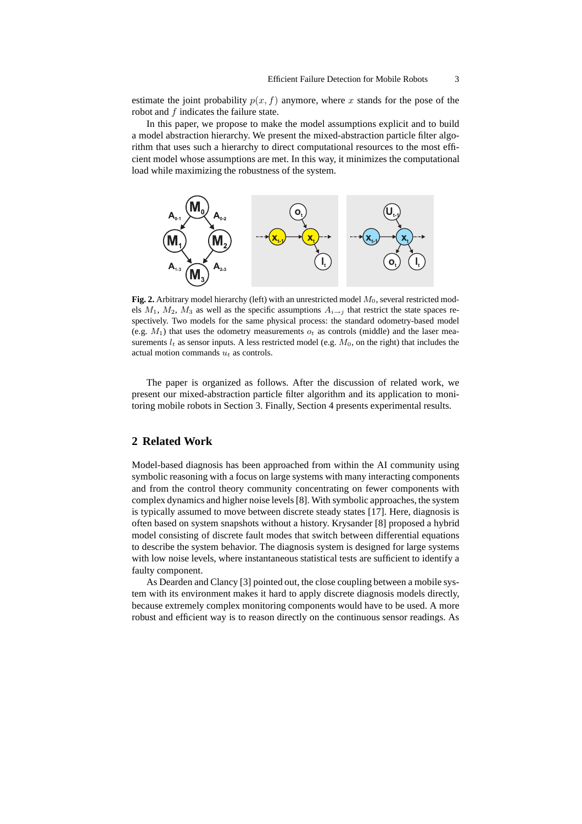estimate the joint probability  $p(x, f)$  anymore, where x stands for the pose of the robot and  $f$  indicates the failure state.

In this paper, we propose to make the model assumptions explicit and to build a model abstraction hierarchy. We present the mixed-abstraction particle filter algorithm that uses such a hierarchy to direct computational resources to the most efficient model whose assumptions are met. In this way, it minimizes the computational load while maximizing the robustness of the system.



**Fig. 2.** Arbitrary model hierarchy (left) with an unrestricted model  $M_0$ , several restricted models  $M_1$ ,  $M_2$ ,  $M_3$  as well as the specific assumptions  $A_{i\rightarrow j}$  that restrict the state spaces respectively. Two models for the same physical process: the standard odometry-based model (e.g.  $M_1$ ) that uses the odometry measurements  $o_t$  as controls (middle) and the laser measurements  $l_t$  as sensor inputs. A less restricted model (e.g.  $M_0$ , on the right) that includes the actual motion commands  $u_t$  as controls.

The paper is organized as follows. After the discussion of related work, we present our mixed-abstraction particle filter algorithm and its application to monitoring mobile robots in Section 3. Finally, Section 4 presents experimental results.

### **2 Related Work**

Model-based diagnosis has been approached from within the AI community using symbolic reasoning with a focus on large systems with many interacting components and from the control theory community concentrating on fewer components with complex dynamics and higher noise levels [8]. With symbolic approaches, the system is typically assumed to move between discrete steady states [17]. Here, diagnosis is often based on system snapshots without a history. Krysander [8] proposed a hybrid model consisting of discrete fault modes that switch between differential equations to describe the system behavior. The diagnosis system is designed for large systems with low noise levels, where instantaneous statistical tests are sufficient to identify a faulty component.

As Dearden and Clancy [3] pointed out, the close coupling between a mobile system with its environment makes it hard to apply discrete diagnosis models directly, because extremely complex monitoring components would have to be used. A more robust and efficient way is to reason directly on the continuous sensor readings. As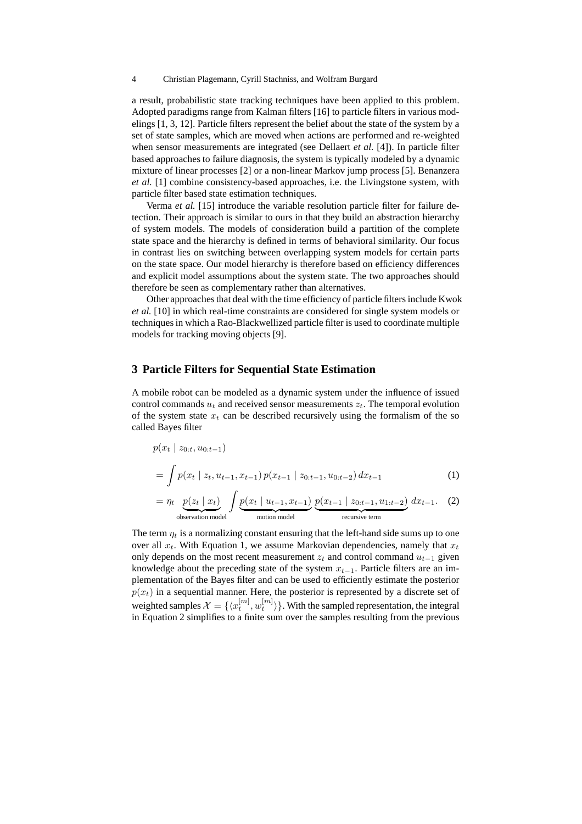a result, probabilistic state tracking techniques have been applied to this problem. Adopted paradigms range from Kalman filters [16] to particle filters in various modelings [1, 3, 12]. Particle filters represent the belief about the state of the system by a set of state samples, which are moved when actions are performed and re-weighted when sensor measurements are integrated (see Dellaert *et al.* [4]). In particle filter based approaches to failure diagnosis, the system is typically modeled by a dynamic mixture of linear processes [2] or a non-linear Markov jump process [5]. Benanzera *et al.* [1] combine consistency-based approaches, i.e. the Livingstone system, with particle filter based state estimation techniques.

Verma *et al.* [15] introduce the variable resolution particle filter for failure detection. Their approach is similar to ours in that they build an abstraction hierarchy of system models. The models of consideration build a partition of the complete state space and the hierarchy is defined in terms of behavioral similarity. Our focus in contrast lies on switching between overlapping system models for certain parts on the state space. Our model hierarchy is therefore based on efficiency differences and explicit model assumptions about the system state. The two approaches should therefore be seen as complementary rather than alternatives.

Other approaches that deal with the time efficiency of particle filters include Kwok *et al.* [10] in which real-time constraints are considered for single system models or techniques in which a Rao-Blackwellized particle filter is used to coordinate multiple models for tracking moving objects [9].

### **3 Particle Filters for Sequential State Estimation**

A mobile robot can be modeled as a dynamic system under the influence of issued control commands  $u_t$  and received sensor measurements  $z_t$ . The temporal evolution of the system state  $x_t$  can be described recursively using the formalism of the so called Bayes filter

$$
p(x_t | z_{0:t}, u_{0:t-1})
$$
\n
$$
= \int p(x_t | z_t, u_{t-1}, x_{t-1}) p(x_{t-1} | z_{0:t-1}, u_{0:t-2}) dx_{t-1}
$$
\n
$$
= \eta_t \underbrace{p(z_t | x_t)}_{\text{observation model}} \int \underbrace{p(x_t | u_{t-1}, x_{t-1})}_{\text{motion model}} \underbrace{p(x_{t-1} | z_{0:t-1}, u_{1:t-2})}_{\text{recursive term}} dx_{t-1}.
$$
\n(1)

The term  $\eta_t$  is a normalizing constant ensuring that the left-hand side sums up to one over all  $x_t$ . With Equation 1, we assume Markovian dependencies, namely that  $x_t$ only depends on the most recent measurement  $z_t$  and control command  $u_{t-1}$  given knowledge about the preceding state of the system  $x_{t-1}$ . Particle filters are an implementation of the Bayes filter and can be used to efficiently estimate the posterior  $p(x_t)$  in a sequential manner. Here, the posterior is represented by a discrete set of weighted samples  $\mathcal{X} = \{\langle x_t^{[m]}, w_t^{[m]} \rangle\}$ . With the sampled representation, the integral in Equation 2 simplifies to a finite sum over the samples resulting from the previous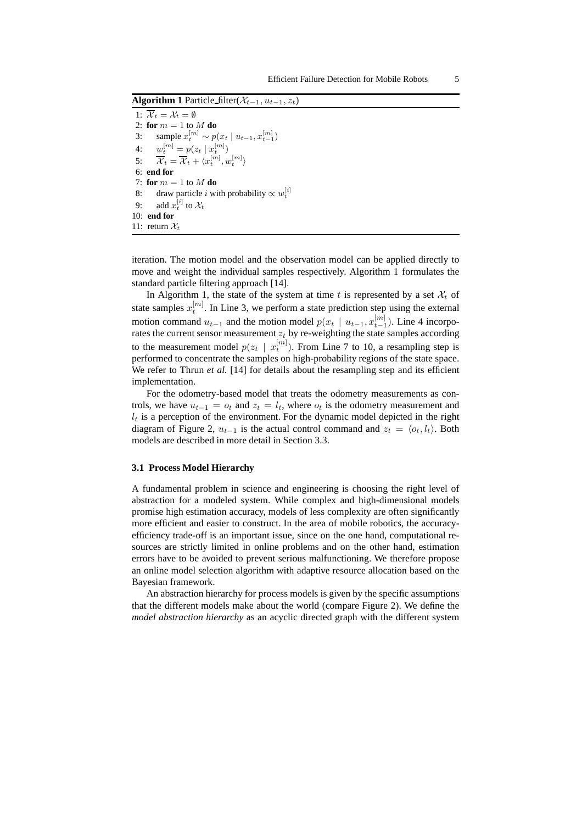**Algorithm 1** Particle\_filter( $\mathcal{X}_{t-1}, u_{t-1}, z_t$ )

1:  $\overline{\mathcal{X}}_t = \mathcal{X}_t = \emptyset$ 2: **for**  $m = 1$  to  $M$  **do** 3: sample  $x_t^{[m]} \sim p(x_t \mid u_{t-1}, x_{t-1}^{[m]})$ 4:  $w_t^{[m]} = p(z_t | x_t^{[m]})$ 5:  $\overline{\mathcal{X}}_t = \overline{\mathcal{X}}_t + \langle x_t^{[m]}, w_t^{[m]} \rangle$ 6: **end for** 7: **for**  $m = 1$  to  $M$  **do** 8: draw particle *i* with probability  $\propto w_t^{[i]}$ 9: add  $x_t^{[i]}$  to  $\mathcal{X}_t$ 10: **end for** 11: return  $\mathcal{X}_t$ 

iteration. The motion model and the observation model can be applied directly to move and weight the individual samples respectively. Algorithm 1 formulates the standard particle filtering approach [14].

In Algorithm 1, the state of the system at time t is represented by a set  $\mathcal{X}_t$  of state samples  $x_t^{[m]}$ . In Line 3, we perform a state prediction step using the external motion command  $u_{t-1}$  and the motion model  $p(x_t | u_{t-1}, x_{t-1}^{[m]})$ . Line 4 incorporates the current sensor measurement  $z_t$  by re-weighting the state samples according to the measurement model  $p(z_t | x_t^{[m]})$ . From Line 7 to 10, a resampling step is performed to concentrate the samples on high-probability regions of the state space. We refer to Thrun *et al.* [14] for details about the resampling step and its efficient implementation.

For the odometry-based model that treats the odometry measurements as controls, we have  $u_{t-1} = o_t$  and  $z_t = l_t$ , where  $o_t$  is the odometry measurement and  $l_t$  is a perception of the environment. For the dynamic model depicted in the right diagram of Figure 2,  $u_{t-1}$  is the actual control command and  $z_t = \langle o_t, l_t \rangle$ . Both models are described in more detail in Section 3.3.

#### **3.1 Process Model Hierarchy**

A fundamental problem in science and engineering is choosing the right level of abstraction for a modeled system. While complex and high-dimensional models promise high estimation accuracy, models of less complexity are often significantly more efficient and easier to construct. In the area of mobile robotics, the accuracyefficiency trade-off is an important issue, since on the one hand, computational resources are strictly limited in online problems and on the other hand, estimation errors have to be avoided to prevent serious malfunctioning. We therefore propose an online model selection algorithm with adaptive resource allocation based on the Bayesian framework.

An abstraction hierarchy for process models is given by the specific assumptions that the different models make about the world (compare Figure 2). We define the *model abstraction hierarchy* as an acyclic directed graph with the different system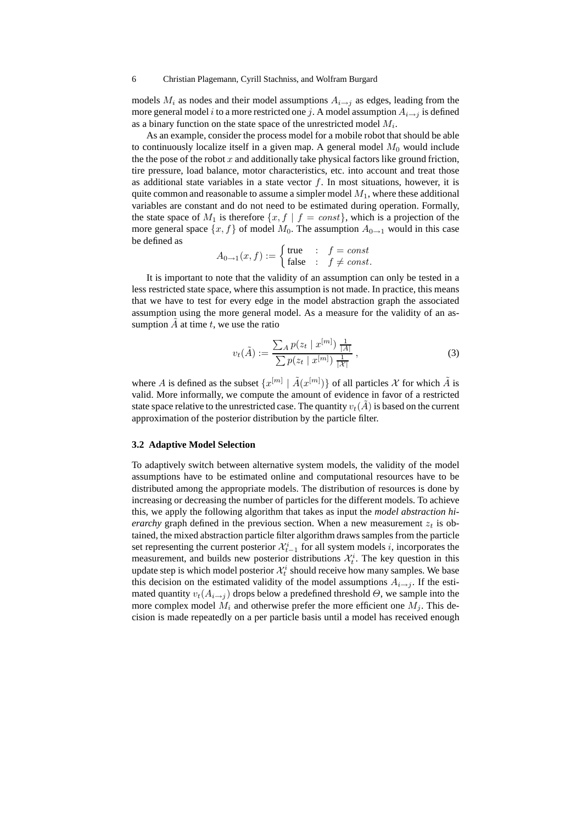models  $M_i$  as nodes and their model assumptions  $A_{i\rightarrow j}$  as edges, leading from the more general model i to a more restricted one j. A model assumption  $A_{i\rightarrow j}$  is defined as a binary function on the state space of the unrestricted model  $M_i$ .

As an example, consider the process model for a mobile robot that should be able to continuously localize itself in a given map. A general model  $M_0$  would include the the pose of the robot  $x$  and additionally take physical factors like ground friction, tire pressure, load balance, motor characteristics, etc. into account and treat those as additional state variables in a state vector  $f$ . In most situations, however, it is quite common and reasonable to assume a simpler model  $M_1$ , where these additional variables are constant and do not need to be estimated during operation. Formally, the state space of  $M_1$  is therefore  $\{x, f \mid f = const\}$ , which is a projection of the more general space  $\{x, f\}$  of model  $M_0$ . The assumption  $A_{0\to 1}$  would in this case be defined as

$$
A_{0\to 1}(x,f) := \begin{cases} \text{true} & \colon f = const \\ \text{false} & \colon f \neq const. \end{cases}
$$

It is important to note that the validity of an assumption can only be tested in a less restricted state space, where this assumption is not made. In practice, this means that we have to test for every edge in the model abstraction graph the associated assumption using the more general model. As a measure for the validity of an assumption  $A$  at time  $t$ , we use the ratio

$$
v_t(\tilde{A}) := \frac{\sum_{A} p(z_t \mid x^{[m]}) \frac{1}{|A|}}{\sum p(z_t \mid x^{[m]}) \frac{1}{|A|}},
$$
\n(3)

where A is defined as the subset  $\{x^{[m]} \mid \tilde{A}(x^{[m]})\}$  of all particles X for which  $\tilde{A}$  is valid. More informally, we compute the amount of evidence in favor of a restricted state space relative to the unrestricted case. The quantity  $v_t(A)$  is based on the current approximation of the posterior distribution by the particle filter.

#### **3.2 Adaptive Model Selection**

To adaptively switch between alternative system models, the validity of the model assumptions have to be estimated online and computational resources have to be distributed among the appropriate models. The distribution of resources is done by increasing or decreasing the number of particles for the different models. To achieve this, we apply the following algorithm that takes as input the *model abstraction hierarchy* graph defined in the previous section. When a new measurement  $z_t$  is obtained, the mixed abstraction particle filter algorithm draws samples from the particle set representing the current posterior  $\mathcal{X}_{t-1}^i$  for all system models i, incorporates the measurement, and builds new posterior distributions  $\mathcal{X}_t^i$ . The key question in this update step is which model posterior  $\mathcal{X}_t^i$  should receive how many samples. We base this decision on the estimated validity of the model assumptions  $A_{i\rightarrow j}$ . If the estimated quantity  $v_t(A_{i\to j})$  drops below a predefined threshold  $\Theta$ , we sample into the more complex model  $M_i$  and otherwise prefer the more efficient one  $M_i$ . This decision is made repeatedly on a per particle basis until a model has received enough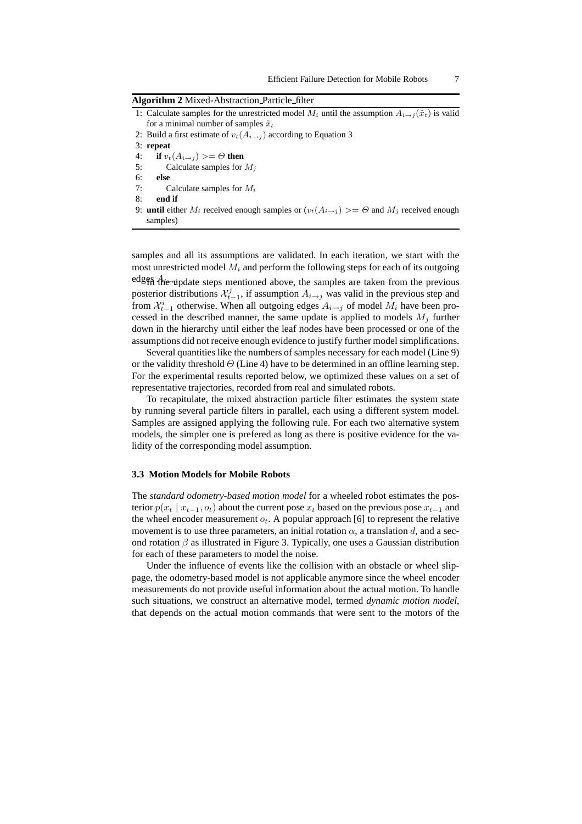**Algorithm 2** Mixed-Abstraction Particle filter

1: Calculate samples for the unrestricted model  $M_i$  until the assumption  $A_{i\rightarrow j}(\tilde{x}_t)$  is valid for a minimal number of samples  $\tilde{x}_t$ 

2: Build a first estimate of  $v_t(A_{i\rightarrow j})$  according to Equation 3

3: **repeat**

- 4: **if**  $v_t(A_{i\rightarrow j}) \geq \Theta$  **then**
- 5: Calculate samples for  $M_i$
- 6: **else**
- 7: Calculate samples for  $M_i$
- 8: **end if**
- 9: **until** either  $M_i$  received enough samples or  $(v_t(A_{i\rightarrow j}) \geq \Theta$  and  $M_i$  received enough samples)

samples and all its assumptions are validated. In each iteration, we start with the most unrestricted model  $M_i$  and perform the following steps for each of its outgoing

edges the update steps mentioned above, the samples are taken from the previous posterior distributions  $\mathcal{X}_{t-1}^j$ , if assumption  $A_{i\rightarrow j}$  was valid in the previous step and from  $\mathcal{X}_{t-1}^i$  otherwise. When all outgoing edges  $A_{i\rightarrow j}$  of model  $M_i$  have been processed in the described manner, the same update is applied to models  $M_i$  further down in the hierarchy until either the leaf nodes have been processed or one of the assumptions did not receive enough evidence to justify further model simplifications.

Several quantities like the numbers of samples necessary for each model (Line 9) or the validity threshold  $\Theta$  (Line 4) have to be determined in an offline learning step. For the experimental results reported below, we optimized these values on a set of representative trajectories, recorded from real and simulated robots.

To recapitulate, the mixed abstraction particle filter estimates the system state by running several particle filters in parallel, each using a different system model. Samples are assigned applying the following rule. For each two alternative system models, the simpler one is prefered as long as there is positive evidence for the validity of the corresponding model assumption.

#### **3.3 Motion Models for Mobile Robots**

The *standard odometry-based motion model* for a wheeled robot estimates the posterior  $p(x_t | x_{t-1}, o_t)$  about the current pose  $x_t$  based on the previous pose  $x_{t-1}$  and the wheel encoder measurement  $o_t$ . A popular approach [6] to represent the relative movement is to use three parameters, an initial rotation  $\alpha$ , a translation d, and a second rotation  $\beta$  as illustrated in Figure 3. Typically, one uses a Gaussian distribution for each of these parameters to model the noise.

Under the influence of events like the collision with an obstacle or wheel slippage, the odometry-based model is not applicable anymore since the wheel encoder measurements do not provide useful information about the actual motion. To handle such situations, we construct an alternative model, termed *dynamic motion model*, that depends on the actual motion commands that were sent to the motors of the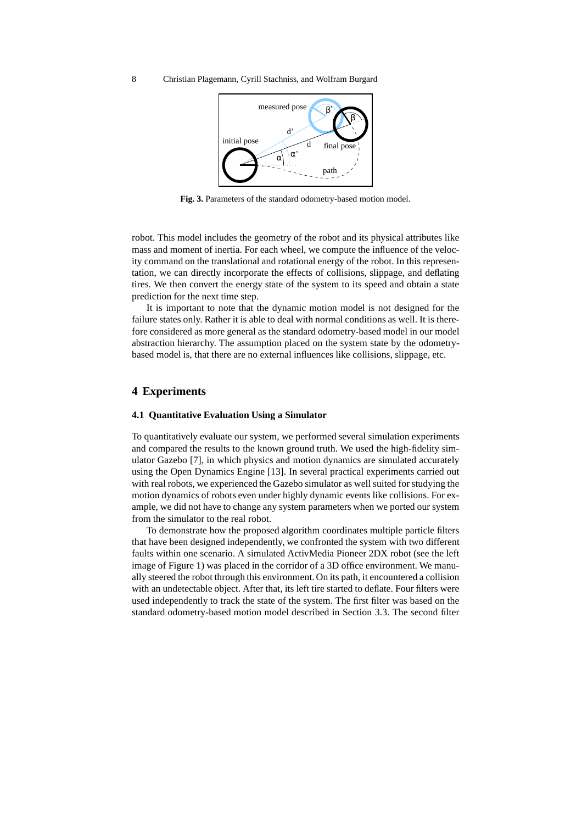

**Fig. 3.** Parameters of the standard odometry-based motion model.

robot. This model includes the geometry of the robot and its physical attributes like mass and moment of inertia. For each wheel, we compute the influence of the velocity command on the translational and rotational energy of the robot. In this representation, we can directly incorporate the effects of collisions, slippage, and deflating tires. We then convert the energy state of the system to its speed and obtain a state prediction for the next time step.

It is important to note that the dynamic motion model is not designed for the failure states only. Rather it is able to deal with normal conditions as well. It is therefore considered as more general as the standard odometry-based model in our model abstraction hierarchy. The assumption placed on the system state by the odometrybased model is, that there are no external influences like collisions, slippage, etc.

# **4 Experiments**

### **4.1 Quantitative Evaluation Using a Simulator**

To quantitatively evaluate our system, we performed several simulation experiments and compared the results to the known ground truth. We used the high-fidelity simulator Gazebo [7], in which physics and motion dynamics are simulated accurately using the Open Dynamics Engine [13]. In several practical experiments carried out with real robots, we experienced the Gazebo simulator as well suited for studying the motion dynamics of robots even under highly dynamic events like collisions. For example, we did not have to change any system parameters when we ported our system from the simulator to the real robot.

To demonstrate how the proposed algorithm coordinates multiple particle filters that have been designed independently, we confronted the system with two different faults within one scenario. A simulated ActivMedia Pioneer 2DX robot (see the left image of Figure 1) was placed in the corridor of a 3D office environment. We manually steered the robot through this environment. On its path, it encountered a collision with an undetectable object. After that, its left tire started to deflate. Four filters were used independently to track the state of the system. The first filter was based on the standard odometry-based motion model described in Section 3.3. The second filter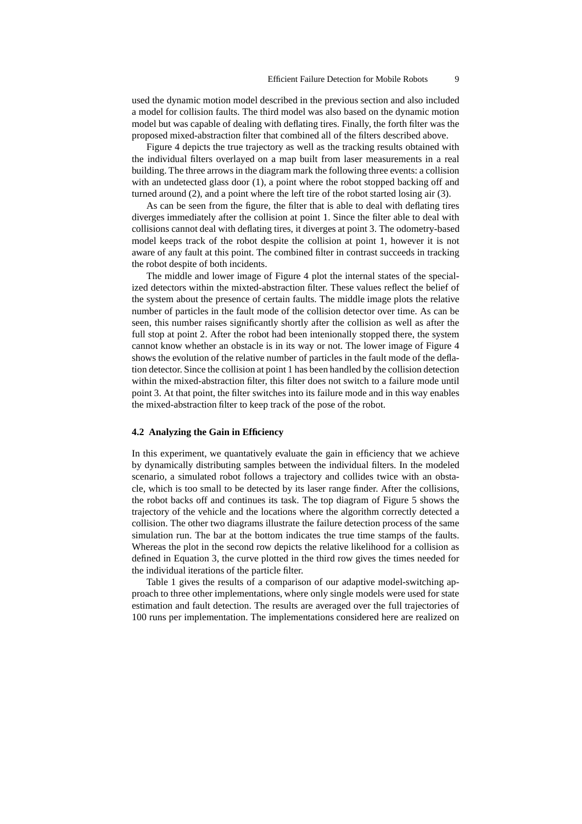used the dynamic motion model described in the previous section and also included a model for collision faults. The third model was also based on the dynamic motion model but was capable of dealing with deflating tires. Finally, the forth filter was the proposed mixed-abstraction filter that combined all of the filters described above.

Figure 4 depicts the true trajectory as well as the tracking results obtained with the individual filters overlayed on a map built from laser measurements in a real building. The three arrows in the diagram mark the following three events: a collision with an undetected glass door (1), a point where the robot stopped backing off and turned around (2), and a point where the left tire of the robot started losing air (3).

As can be seen from the figure, the filter that is able to deal with deflating tires diverges immediately after the collision at point 1. Since the filter able to deal with collisions cannot deal with deflating tires, it diverges at point 3. The odometry-based model keeps track of the robot despite the collision at point 1, however it is not aware of any fault at this point. The combined filter in contrast succeeds in tracking the robot despite of both incidents.

The middle and lower image of Figure 4 plot the internal states of the specialized detectors within the mixted-abstraction filter. These values reflect the belief of the system about the presence of certain faults. The middle image plots the relative number of particles in the fault mode of the collision detector over time. As can be seen, this number raises significantly shortly after the collision as well as after the full stop at point 2. After the robot had been intenionally stopped there, the system cannot know whether an obstacle is in its way or not. The lower image of Figure 4 shows the evolution of the relative number of particles in the fault mode of the deflation detector. Since the collision at point 1 has been handled by the collision detection within the mixed-abstraction filter, this filter does not switch to a failure mode until point 3. At that point, the filter switches into its failure mode and in this way enables the mixed-abstraction filter to keep track of the pose of the robot.

#### **4.2 Analyzing the Gain in Efficiency**

In this experiment, we quantatively evaluate the gain in efficiency that we achieve by dynamically distributing samples between the individual filters. In the modeled scenario, a simulated robot follows a trajectory and collides twice with an obstacle, which is too small to be detected by its laser range finder. After the collisions, the robot backs off and continues its task. The top diagram of Figure 5 shows the trajectory of the vehicle and the locations where the algorithm correctly detected a collision. The other two diagrams illustrate the failure detection process of the same simulation run. The bar at the bottom indicates the true time stamps of the faults. Whereas the plot in the second row depicts the relative likelihood for a collision as defined in Equation 3, the curve plotted in the third row gives the times needed for the individual iterations of the particle filter.

Table 1 gives the results of a comparison of our adaptive model-switching approach to three other implementations, where only single models were used for state estimation and fault detection. The results are averaged over the full trajectories of 100 runs per implementation. The implementations considered here are realized on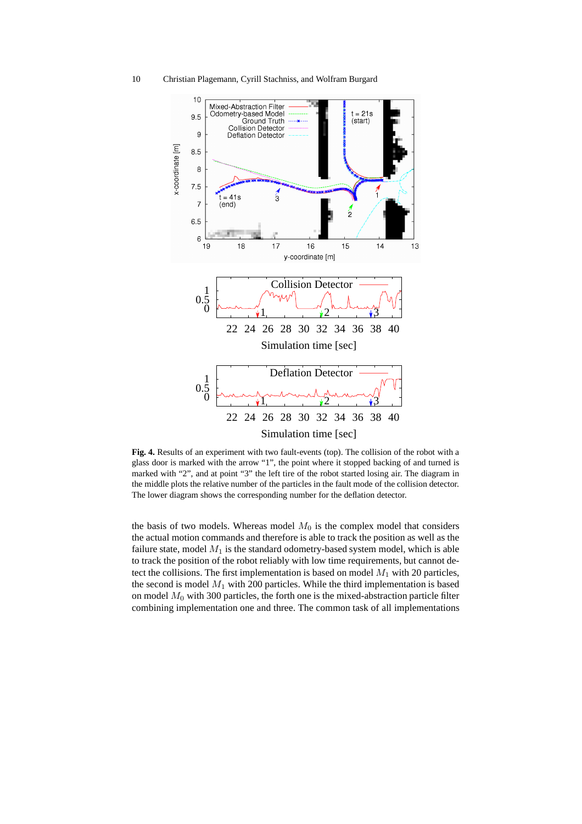

**Fig. 4.** Results of an experiment with two fault-events (top). The collision of the robot with a glass door is marked with the arrow "1", the point where it stopped backing of and turned is marked with "2", and at point "3" the left tire of the robot started losing air. The diagram in the middle plots the relative number of the particles in the fault mode of the collision detector. The lower diagram shows the corresponding number for the deflation detector.

the basis of two models. Whereas model  $M_0$  is the complex model that considers the actual motion commands and therefore is able to track the position as well as the failure state, model  $M_1$  is the standard odometry-based system model, which is able to track the position of the robot reliably with low time requirements, but cannot detect the collisions. The first implementation is based on model  $M_1$  with 20 particles, the second is model  $M_1$  with 200 particles. While the third implementation is based on model  $M_0$  with 300 particles, the forth one is the mixed-abstraction particle filter combining implementation one and three. The common task of all implementations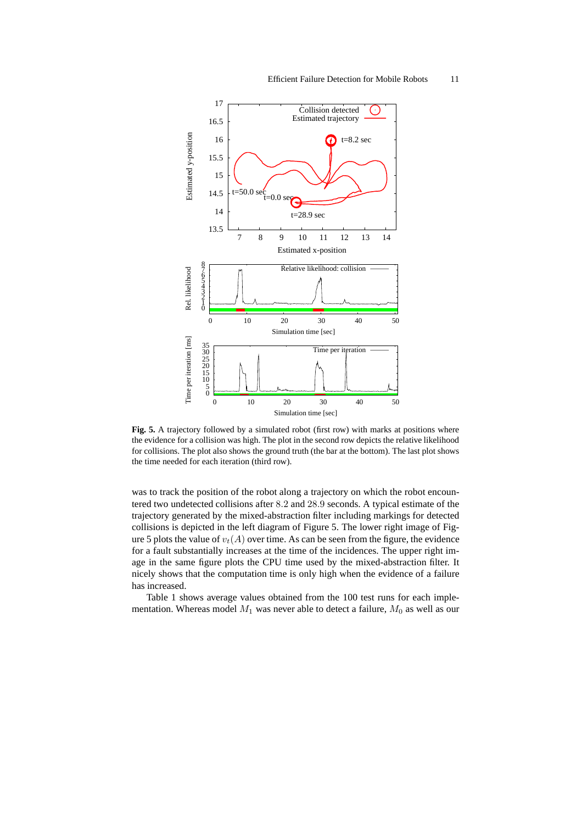

Fig. 5. A trajectory followed by a simulated robot (first row) with marks at positions where the evidence for a collision was high. The plot in the second row depicts the relative likelihood for collisions. The plot also shows the ground truth (the bar at the bottom). The last plot shows the time needed for each iteration (third row).

was to track the position of the robot along a trajectory on which the robot encountered two undetected collisions after 8.2 and 28.9 seconds. A typical estimate of the trajectory generated by the mixed-abstraction filter including markings for detected collisions is depicted in the left diagram of Figure 5. The lower right image of Figure 5 plots the value of  $v_t(A)$  over time. As can be seen from the figure, the evidence for a fault substantially increases at the time of the incidences. The upper right image in the same figure plots the CPU time used by the mixed-abstraction filter. It nicely shows that the computation time is only high when the evidence of a failure has increased.

Table 1 shows average values obtained from the 100 test runs for each implementation. Whereas model  $M_1$  was never able to detect a failure,  $M_0$  as well as our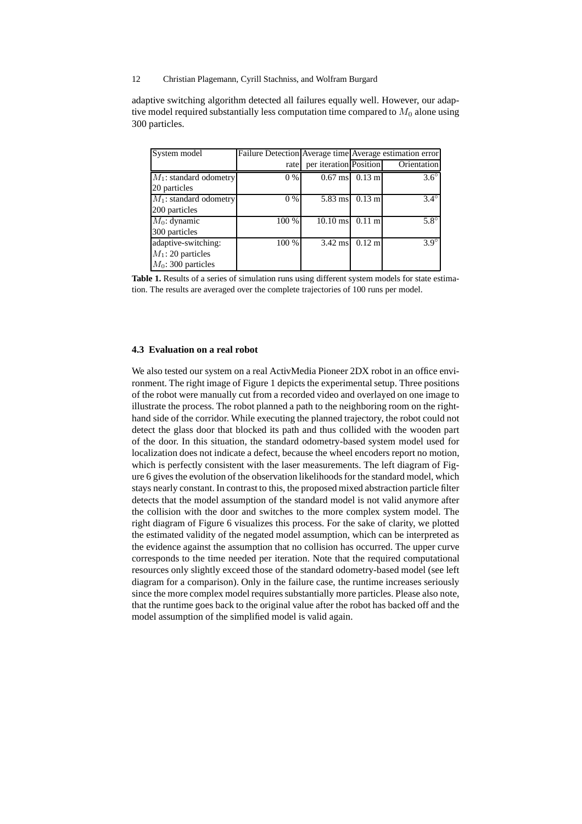adaptive switching algorithm detected all failures equally well. However, our adaptive model required substantially less computation time compared to  $M_0$  alone using 300 particles.

| System model              | Failure Detection Average time Average estimation error |                        |                    |             |
|---------------------------|---------------------------------------------------------|------------------------|--------------------|-------------|
|                           | rate                                                    | per iteration Position |                    | Orientation |
| $M_1$ : standard odometry | $0\%$                                                   |                        | $0.67$ ms $0.13$ m | $3.6^\circ$ |
| 20 particles              |                                                         |                        |                    |             |
| $M_1$ : standard odometry | 0 %                                                     |                        | 5.83 ms $0.13$ m   | $3.4^\circ$ |
| 200 particles             |                                                         |                        |                    |             |
| $M_0$ : dynamic           | 100 %                                                   | $10.10$ ms             | $0.11 \text{ m}$   | $5.8^\circ$ |
| 300 particles             |                                                         |                        |                    |             |
| adaptive-switching:       | 100 %                                                   |                        | $3.42$ ms $0.12$ m | $3.9^\circ$ |
| $M_1$ : 20 particles      |                                                         |                        |                    |             |
| $M_0$ : 300 particles     |                                                         |                        |                    |             |

**Table 1.** Results of a series of simulation runs using different system models for state estimation. The results are averaged over the complete trajectories of 100 runs per model.

### **4.3 Evaluation on a real robot**

We also tested our system on a real ActivMedia Pioneer 2DX robot in an office environment. The right image of Figure 1 depicts the experimental setup. Three positions of the robot were manually cut from a recorded video and overlayed on one image to illustrate the process. The robot planned a path to the neighboring room on the righthand side of the corridor. While executing the planned trajectory, the robot could not detect the glass door that blocked its path and thus collided with the wooden part of the door. In this situation, the standard odometry-based system model used for localization does not indicate a defect, because the wheel encoders report no motion, which is perfectly consistent with the laser measurements. The left diagram of Figure 6 gives the evolution of the observation likelihoods for the standard model, which stays nearly constant. In contrast to this, the proposed mixed abstraction particle filter detects that the model assumption of the standard model is not valid anymore after the collision with the door and switches to the more complex system model. The right diagram of Figure 6 visualizes this process. For the sake of clarity, we plotted the estimated validity of the negated model assumption, which can be interpreted as the evidence against the assumption that no collision has occurred. The upper curve corresponds to the time needed per iteration. Note that the required computational resources only slightly exceed those of the standard odometry-based model (see left diagram for a comparison). Only in the failure case, the runtime increases seriously since the more complex model requires substantially more particles. Please also note, that the runtime goes back to the original value after the robot has backed off and the model assumption of the simplified model is valid again.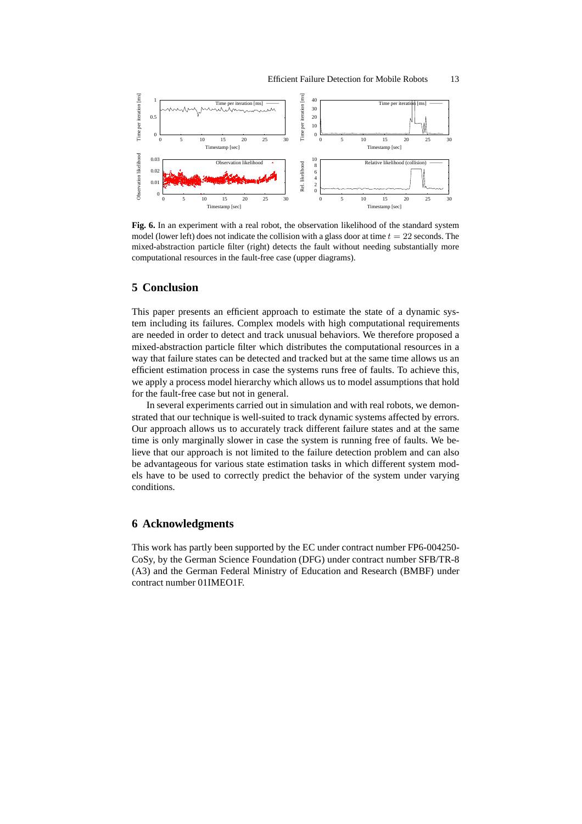

**Fig. 6.** In an experiment with a real robot, the observation likelihood of the standard system model (lower left) does not indicate the collision with a glass door at time  $t = 22$  seconds. The mixed-abstraction particle filter (right) detects the fault without needing substantially more computational resources in the fault-free case (upper diagrams).

# **5 Conclusion**

This paper presents an efficient approach to estimate the state of a dynamic system including its failures. Complex models with high computational requirements are needed in order to detect and track unusual behaviors. We therefore proposed a mixed-abstraction particle filter which distributes the computational resources in a way that failure states can be detected and tracked but at the same time allows us an efficient estimation process in case the systems runs free of faults. To achieve this, we apply a process model hierarchy which allows us to model assumptions that hold for the fault-free case but not in general.

In several experiments carried out in simulation and with real robots, we demonstrated that our technique is well-suited to track dynamic systems affected by errors. Our approach allows us to accurately track different failure states and at the same time is only marginally slower in case the system is running free of faults. We believe that our approach is not limited to the failure detection problem and can also be advantageous for various state estimation tasks in which different system models have to be used to correctly predict the behavior of the system under varying conditions.

# **6 Acknowledgments**

This work has partly been supported by the EC under contract number FP6-004250- CoSy, by the German Science Foundation (DFG) under contract number SFB/TR-8 (A3) and the German Federal Ministry of Education and Research (BMBF) under contract number 01IMEO1F.